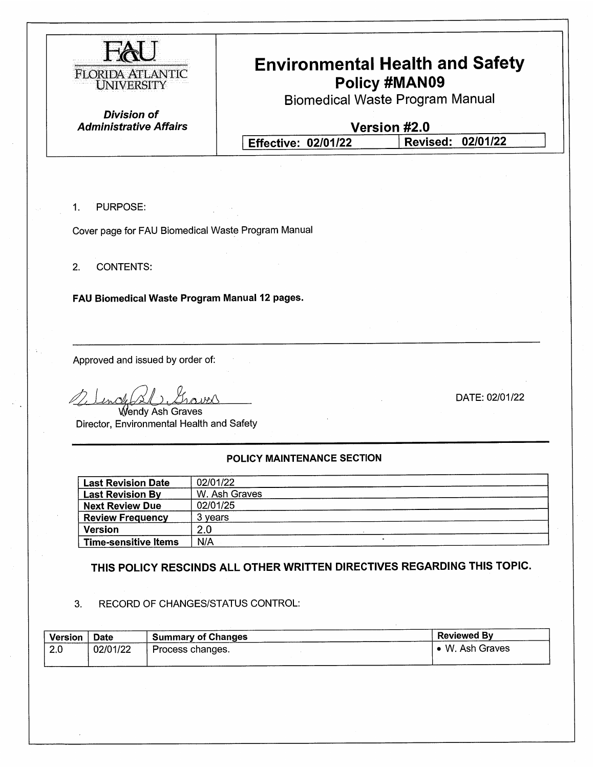

## **Environmental Health and Safety** Policy #MAN09

**Biomedical Waste Program Manual** 

**Division of Administrative Affairs** 

Version #2.0

**Effective: 02/01/22** Revised: 02/01/22

 $1<sub>r</sub>$ **PURPOSE:** 

Cover page for FAU Biomedical Waste Program Manual

 $2.$ **CONTENTS:** 

FAU Biomedical Waste Program Manual 12 pages.

Approved and issued by order of:

DATE: 02/01/22

Wendy Ash Graves Director, Environmental Health and Safety

#### POLICY MAINTENANCE SECTION

| <b>Last Revision Date</b>   | 02/01/22      |  |
|-----------------------------|---------------|--|
| <b>Last Revision By</b>     | W. Ash Graves |  |
| <b>Next Review Due</b>      | 02/01/25      |  |
| <b>Review Frequency</b>     | 3 years       |  |
| <b>Version</b>              | 2.0           |  |
| <b>Time-sensitive Items</b> | N/A           |  |

THIS POLICY RESCINDS ALL OTHER WRITTEN DIRECTIVES REGARDING THIS TOPIC.

#### RECORD OF CHANGES/STATUS CONTROL: 3.

| <b>Version</b> | Date     | <b>Summary of Changes</b> | <b>Reviewed By</b> |
|----------------|----------|---------------------------|--------------------|
| 2.0            | 02/01/22 | Process changes.          | • W. Ash Graves    |
|                |          |                           |                    |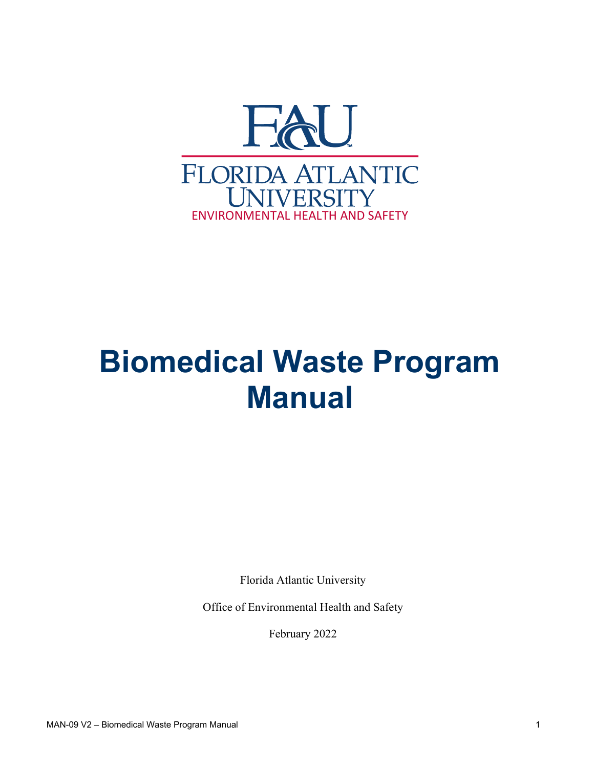

# **Biomedical Waste Program Manual**

Florida Atlantic University

Office of Environmental Health and Safety

February 2022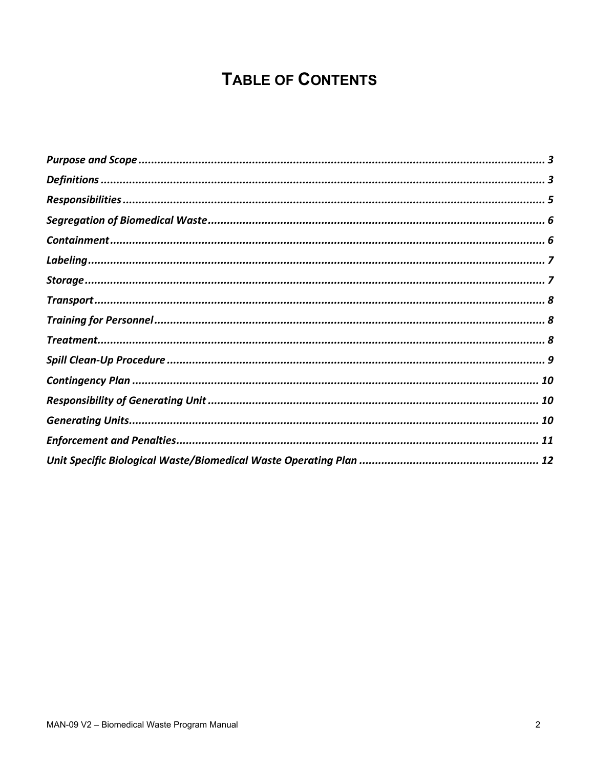# **TABLE OF CONTENTS**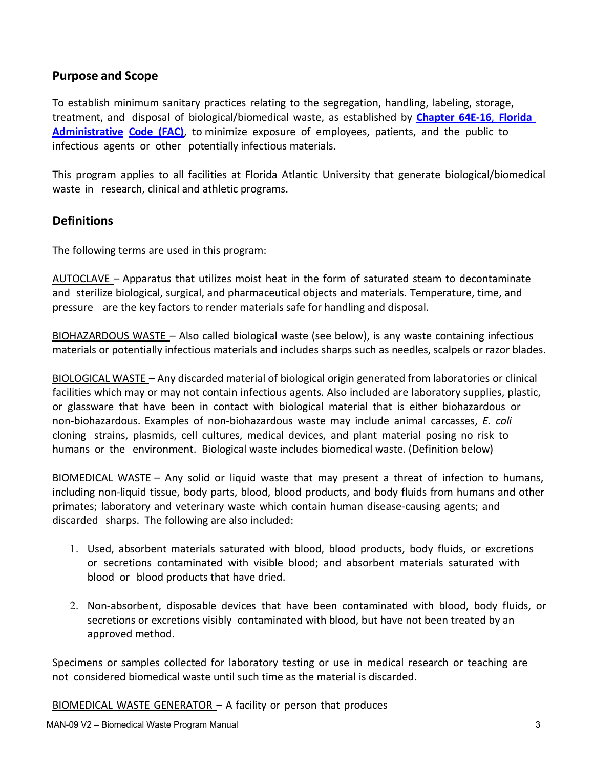#### **Purpose and Scope**

To establish minimum sanitary practices relating to the segregation, handling, labeling, storage, treatment, and disposal of biological/biomedical waste, as established by **[Chapter](http://www.floridahealth.gov/healthy-environments/biomedical-waste/_documents/64E16_1.pdf) 64E-16**, **Florida [Administrative](http://www.floridahealth.gov/healthy-environments/biomedical-waste/_documents/64E16_1.pdf) Code [\(FAC\)](http://www.floridahealth.gov/healthy-environments/biomedical-waste/_documents/64E16_1.pdf)**, to minimize exposure of employees, patients, and the public to infectious agents or other potentially infectious materials.

This program applies to all facilities at Florida Atlantic University that generate biological/biomedical waste in research, clinical and athletic programs.

#### **Definitions**

The following terms are used in this program:

AUTOCLAVE – Apparatus that utilizes moist heat in the form of saturated steam to decontaminate and sterilize biological, surgical, and pharmaceutical objects and materials. Temperature, time, and pressure are the key factors to render materials safe for handling and disposal.

BIOHAZARDOUS WASTE - Also called biological waste (see below), is any waste containing infectious materials or potentially infectious materials and includes sharps such as needles, scalpels or razor blades.

BIOLOGICAL WASTE – Any discarded material of biological origin generated from laboratories or clinical facilities which may or may not contain infectious agents. Also included are laboratory supplies, plastic, or glassware that have been in contact with biological material that is either biohazardous or non-biohazardous. Examples of non-biohazardous waste may include animal carcasses, *E. coli* cloning strains, plasmids, cell cultures, medical devices, and plant material posing no risk to humans or the environment. Biological waste includes biomedical waste. (Definition below)

BIOMEDICAL WASTE  $-$  Any solid or liquid waste that may present a threat of infection to humans, including non-liquid tissue, body parts, blood, blood products, and body fluids from humans and other primates; laboratory and veterinary waste which contain human disease-causing agents; and discarded sharps. The following are also included:

- 1. Used, absorbent materials saturated with blood, blood products, body fluids, or excretions or secretions contaminated with visible blood; and absorbent materials saturated with blood or blood products that have dried.
- 2. Non-absorbent, disposable devices that have been contaminated with blood, body fluids, or secretions or excretions visibly contaminated with blood, but have not been treated by an approved method.

Specimens or samples collected for laboratory testing or use in medical research or teaching are not considered biomedical waste until such time as the material is discarded.

BIOMEDICAL WASTE GENERATOR  $-$  A facility or person that produces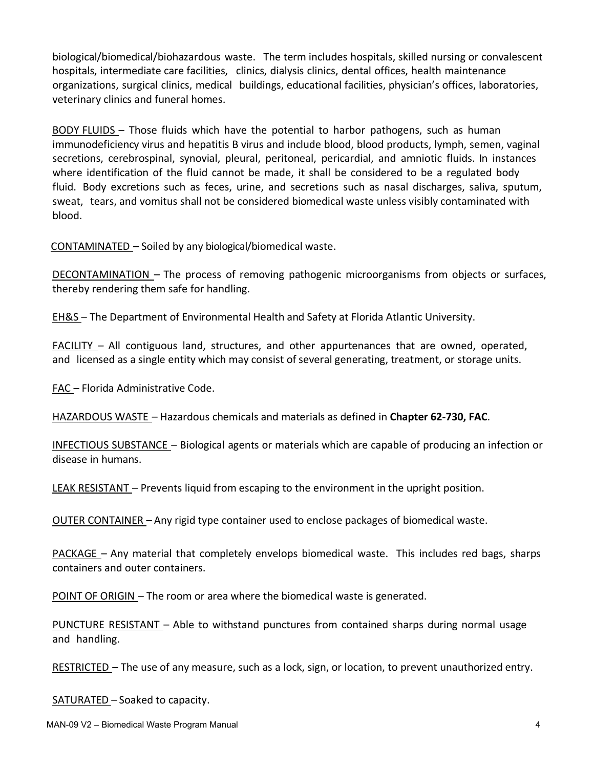biological/biomedical/biohazardous waste. The term includes hospitals, skilled nursing or convalescent hospitals, intermediate care facilities, clinics, dialysis clinics, dental offices, health maintenance organizations, surgical clinics, medical buildings, educational facilities, physician's offices, laboratories, veterinary clinics and funeral homes.

BODY FLUIDS – Those fluids which have the potential to harbor pathogens, such as human immunodeficiency virus and hepatitis B virus and include blood, blood products, lymph, semen, vaginal secretions, cerebrospinal, synovial, pleural, peritoneal, pericardial, and amniotic fluids. In instances where identification of the fluid cannot be made, it shall be considered to be a regulated body fluid. Body excretions such as feces, urine, and secretions such as nasal discharges, saliva, sputum, sweat, tears, and vomitus shall not be considered biomedical waste unless visibly contaminated with blood.

 $CONTAMINATED - Solid by any biological/biomedical waste.$ 

DECONTAMINATION - The process of removing pathogenic microorganisms from objects or surfaces, thereby rendering them safe for handling.

EH&S – The Department of Environmental Health and Safety at Florida Atlantic University.

 $FACILITY - All contiguous land, structures, and other appurtenances that are owned, operated,$ and licensed as a single entity which may consist of several generating, treatment, or storage units.

FAC - Florida Administrative Code.

HAZARDOUS WASTE ʹ Hazardous chemicals and materials as defined in **Chapter 62-730, FAC**.

INFECTIOUS SUBSTANCE – Biological agents or materials which are capable of producing an infection or disease in humans.

LEAK RESISTANT – Prevents liquid from escaping to the environment in the upright position.

OUTER CONTAINER - Any rigid type container used to enclose packages of biomedical waste.

PACKAGE – Any material that completely envelops biomedical waste. This includes red bags, sharps containers and outer containers.

POINT OF ORIGIN - The room or area where the biomedical waste is generated.

PUNCTURE RESISTANT – Able to withstand punctures from contained sharps during normal usage and handling.

RESTRICTED – The use of any measure, such as a lock, sign, or location, to prevent unauthorized entry.

 $SATURATED - Soaked to capacity.$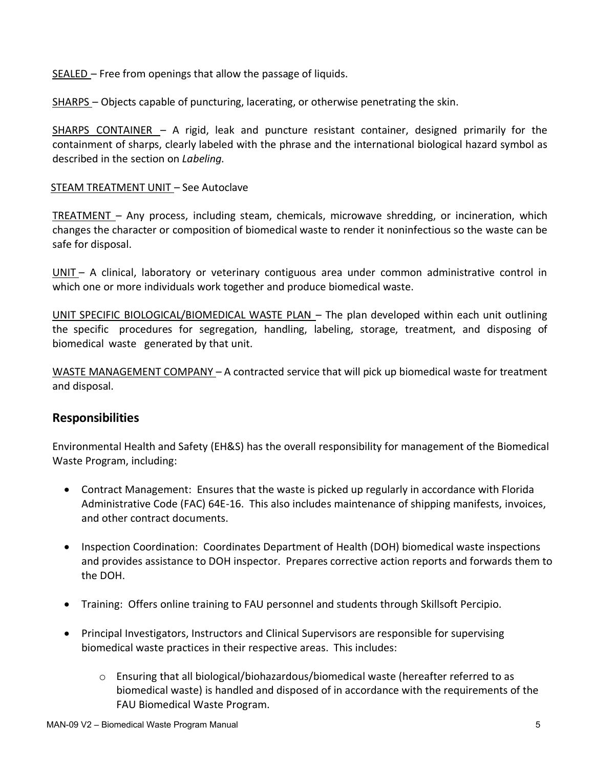$SEALED - Free from openings that allow the passage of liquids.$ 

SHARPS – Objects capable of puncturing, lacerating, or otherwise penetrating the skin.

SHARPS CONTAINER  $-$  A rigid, leak and puncture resistant container, designed primarily for the containment of sharps, clearly labeled with the phrase and the international biological hazard symbol as described in the section on *Labeling.*

#### STEAM TREATMENT UNIT - See Autoclave

TREATMENT  $-$  Any process, including steam, chemicals, microwave shredding, or incineration, which changes the character or composition of biomedical waste to render it noninfectious so the waste can be safe for disposal.

UNIT - A clinical, laboratory or veterinary contiguous area under common administrative control in which one or more individuals work together and produce biomedical waste.

UNIT SPECIFIC BIOLOGICAL/BIOMEDICAL WASTE PLAN – The plan developed within each unit outlining the specific procedures for segregation, handling, labeling, storage, treatment, and disposing of biomedical waste generated by that unit.

WASTE MANAGEMENT COMPANY  $-$  A contracted service that will pick up biomedical waste for treatment and disposal.

#### **Responsibilities**

Environmental Health and Safety (EH&S) has the overall responsibility for management of the Biomedical Waste Program, including:

- Contract Management: Ensures that the waste is picked up regularly in accordance with Florida Administrative Code (FAC) 64E-16. This also includes maintenance of shipping manifests, invoices, and other contract documents.
- Inspection Coordination: Coordinates Department of Health (DOH) biomedical waste inspections and provides assistance to DOH inspector. Prepares corrective action reports and forwards them to the DOH.
- Training: Offers online training to FAU personnel and students through Skillsoft Percipio.
- Principal Investigators, Instructors and Clinical Supervisors are responsible for supervising biomedical waste practices in their respective areas. This includes:
	- o Ensuring that all biological/biohazardous/biomedical waste (hereafter referred to as biomedical waste) is handled and disposed of in accordance with the requirements of the FAU Biomedical Waste Program.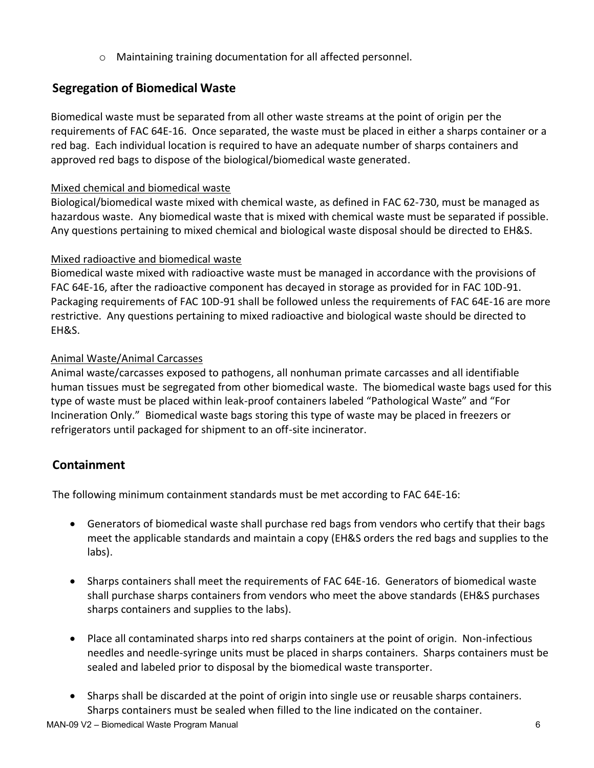o Maintaining training documentation for all affected personnel.

#### **Segregation of Biomedical Waste**

Biomedical waste must be separated from all other waste streams at the point of origin per the requirements of FAC 64E-16. Once separated, the waste must be placed in either a sharps container or a red bag. Each individual location is required to have an adequate number of sharps containers and approved red bags to dispose of the biological/biomedical waste generated.

#### Mixed chemical and biomedical waste

Biological/biomedical waste mixed with chemical waste, as defined in FAC 62-730, must be managed as hazardous waste. Any biomedical waste that is mixed with chemical waste must be separated if possible. Any questions pertaining to mixed chemical and biological waste disposal should be directed to EH&S.

#### Mixed radioactive and biomedical waste

Biomedical waste mixed with radioactive waste must be managed in accordance with the provisions of FAC 64E-16, after the radioactive component has decayed in storage as provided for in FAC 10D-91. Packaging requirements of FAC 10D-91 shall be followed unless the requirements of FAC 64E-16 are more restrictive. Any questions pertaining to mixed radioactive and biological waste should be directed to EH&S.

#### Animal Waste/Animal Carcasses

Animal waste/carcasses exposed to pathogens, all nonhuman primate carcasses and all identifiable human tissues must be segregated from other biomedical waste. The biomedical waste bags used for this type of waste must be placed within leak-proof containers labeled "Pathological Waste" and "For Incineration Only." Biomedical waste bags storing this type of waste may be placed in freezers or refrigerators until packaged for shipment to an off-site incinerator.

#### **Containment**

The following minimum containment standards must be met according to FAC 64E-16:

- Generators of biomedical waste shall purchase red bags from vendors who certify that their bags meet the applicable standards and maintain a copy (EH&S orders the red bags and supplies to the labs).
- Sharps containers shall meet the requirements of FAC 64E-16. Generators of biomedical waste shall purchase sharps containers from vendors who meet the above standards (EH&S purchases sharps containers and supplies to the labs).
- Place all contaminated sharps into red sharps containers at the point of origin. Non-infectious needles and needle-syringe units must be placed in sharps containers. Sharps containers must be sealed and labeled prior to disposal by the biomedical waste transporter.
- Sharps shall be discarded at the point of origin into single use or reusable sharps containers. Sharps containers must be sealed when filled to the line indicated on the container.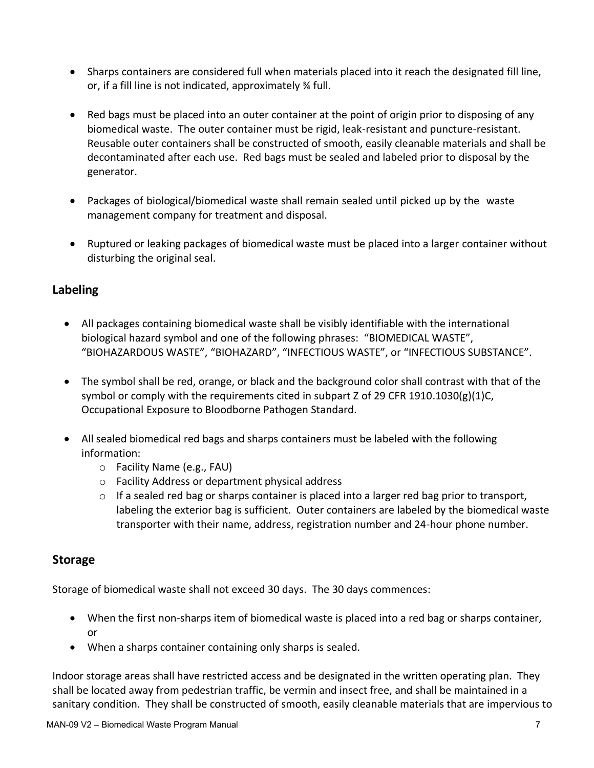- Sharps containers are considered full when materials placed into it reach the designated fill line, or, if a fill line is not indicated, approximately ¾ full.
- Red bags must be placed into an outer container at the point of origin prior to disposing of any biomedical waste. The outer container must be rigid, leak-resistant and puncture-resistant. Reusable outer containers shall be constructed of smooth, easily cleanable materials and shall be decontaminated after each use. Red bags must be sealed and labeled prior to disposal by the generator.
- Packages of biological/biomedical waste shall remain sealed until picked up by the waste management company for treatment and disposal.
- Ruptured or leaking packages of biomedical waste must be placed into a larger container without disturbing the original seal.

#### **Labeling**

- All packages containing biomedical waste shall be visibly identifiable with the international biological hazard symbol and one of the following phrases: "BIOMEDICAL WASTE", "BIOHAZARDOUS WASTE", "BIOHAZARD", "INFECTIOUS WASTE", or "INFECTIOUS SUBSTANCE".
- The symbol shall be red, orange, or black and the background color shall contrast with that of the symbol or comply with the requirements cited in subpart Z of 29 CFR 1910.1030(g)(1)C, Occupational Exposure to Bloodborne Pathogen Standard.
- All sealed biomedical red bags and sharps containers must be labeled with the following information:
	- o Facility Name (e.g., FAU)
	- o Facility Address or department physical address
	- $\circ$  If a sealed red bag or sharps container is placed into a larger red bag prior to transport, labeling the exterior bag is sufficient. Outer containers are labeled by the biomedical waste transporter with their name, address, registration number and 24-hour phone number.

#### **Storage**

Storage of biomedical waste shall not exceed 30 days. The 30 days commences:

- When the first non-sharps item of biomedical waste is placed into a red bag or sharps container, or
- When a sharps container containing only sharps is sealed.

Indoor storage areas shall have restricted access and be designated in the written operating plan. They shall be located away from pedestrian traffic, be vermin and insect free, and shall be maintained in a sanitary condition. They shall be constructed of smooth, easily cleanable materials that are impervious to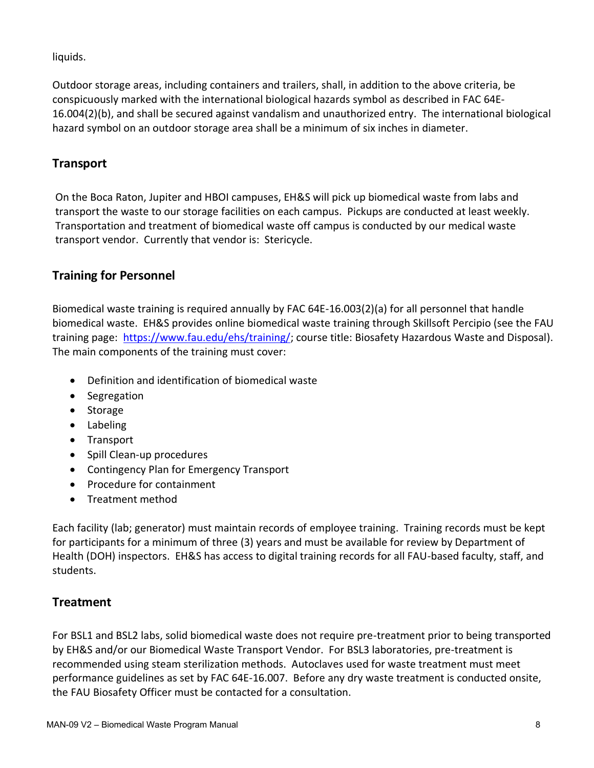#### liquids.

Outdoor storage areas, including containers and trailers, shall, in addition to the above criteria, be conspicuously marked with the international biological hazards symbol as described in FAC 64E-16.004(2)(b), and shall be secured against vandalism and unauthorized entry. The international biological hazard symbol on an outdoor storage area shall be a minimum of six inches in diameter.

#### **Transport**

On the Boca Raton, Jupiter and HBOI campuses, EH&S will pick up biomedical waste from labs and transport the waste to our storage facilities on each campus. Pickups are conducted at least weekly. Transportation and treatment of biomedical waste off campus is conducted by our medical waste transport vendor. Currently that vendor is: Stericycle.

#### **Training for Personnel**

Biomedical waste training is required annually by FAC 64E-16.003(2)(a) for all personnel that handle biomedical waste. EH&S provides online biomedical waste training through Skillsoft Percipio (see the FAU training page: [https://www.fau.edu/ehs/training/;](https://www.fau.edu/ehs/training/) course title: Biosafety Hazardous Waste and Disposal). The main components of the training must cover:

- Definition and identification of biomedical waste
- Segregation
- Storage
- Labeling
- Transport
- Spill Clean-up procedures
- Contingency Plan for Emergency Transport
- Procedure for containment
- Treatment method

Each facility (lab; generator) must maintain records of employee training. Training records must be kept for participants for a minimum of three (3) years and must be available for review by Department of Health (DOH) inspectors. EH&S has access to digital training records for all FAU-based faculty, staff, and students.

#### **Treatment**

For BSL1 and BSL2 labs, solid biomedical waste does not require pre-treatment prior to being transported by EH&S and/or our Biomedical Waste Transport Vendor. For BSL3 laboratories, pre-treatment is recommended using steam sterilization methods. Autoclaves used for waste treatment must meet performance guidelines as set by FAC 64E-16.007. Before any dry waste treatment is conducted onsite, the FAU Biosafety Officer must be contacted for a consultation.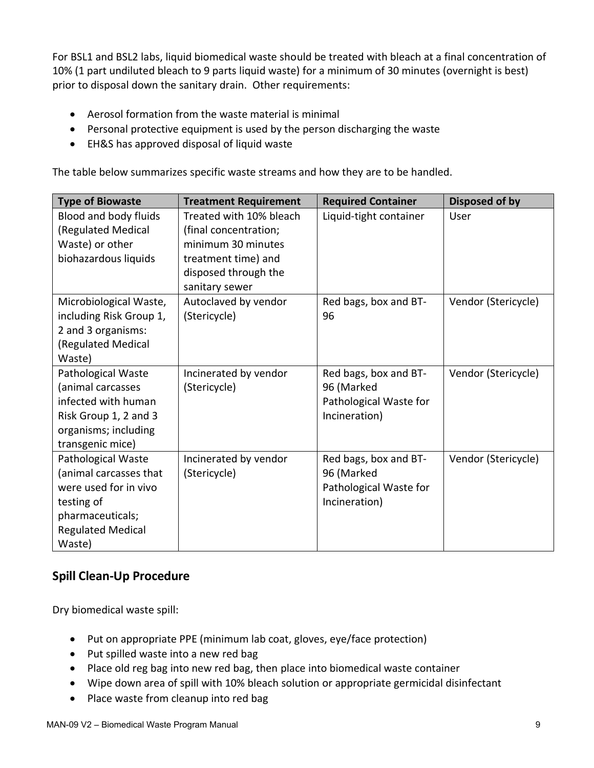For BSL1 and BSL2 labs, liquid biomedical waste should be treated with bleach at a final concentration of 10% (1 part undiluted bleach to 9 parts liquid waste) for a minimum of 30 minutes (overnight is best) prior to disposal down the sanitary drain. Other requirements:

- Aerosol formation from the waste material is minimal
- Personal protective equipment is used by the person discharging the waste
- EH&S has approved disposal of liquid waste

The table below summarizes specific waste streams and how they are to be handled.

| <b>Type of Biowaste</b>  | <b>Treatment Requirement</b> | <b>Required Container</b> | Disposed of by      |
|--------------------------|------------------------------|---------------------------|---------------------|
| Blood and body fluids    | Treated with 10% bleach      | Liquid-tight container    | User                |
| (Regulated Medical       | (final concentration;        |                           |                     |
| Waste) or other          | minimum 30 minutes           |                           |                     |
| biohazardous liquids     | treatment time) and          |                           |                     |
|                          | disposed through the         |                           |                     |
|                          | sanitary sewer               |                           |                     |
| Microbiological Waste,   | Autoclaved by vendor         | Red bags, box and BT-     | Vendor (Stericycle) |
| including Risk Group 1,  | (Stericycle)                 | 96                        |                     |
| 2 and 3 organisms:       |                              |                           |                     |
| (Regulated Medical       |                              |                           |                     |
| Waste)                   |                              |                           |                     |
| Pathological Waste       | Incinerated by vendor        | Red bags, box and BT-     | Vendor (Stericycle) |
| (animal carcasses        | (Stericycle)                 | 96 (Marked                |                     |
| infected with human      |                              | Pathological Waste for    |                     |
| Risk Group 1, 2 and 3    |                              | Incineration)             |                     |
| organisms; including     |                              |                           |                     |
| transgenic mice)         |                              |                           |                     |
| Pathological Waste       | Incinerated by vendor        | Red bags, box and BT-     | Vendor (Stericycle) |
| (animal carcasses that   | (Stericycle)                 | 96 (Marked                |                     |
| were used for in vivo    |                              | Pathological Waste for    |                     |
| testing of               |                              | Incineration)             |                     |
| pharmaceuticals;         |                              |                           |                     |
| <b>Regulated Medical</b> |                              |                           |                     |
| Waste)                   |                              |                           |                     |

#### **Spill Clean-Up Procedure**

Dry biomedical waste spill:

- Put on appropriate PPE (minimum lab coat, gloves, eye/face protection)
- Put spilled waste into a new red bag
- Place old reg bag into new red bag, then place into biomedical waste container
- Wipe down area of spill with 10% bleach solution or appropriate germicidal disinfectant
- Place waste from cleanup into red bag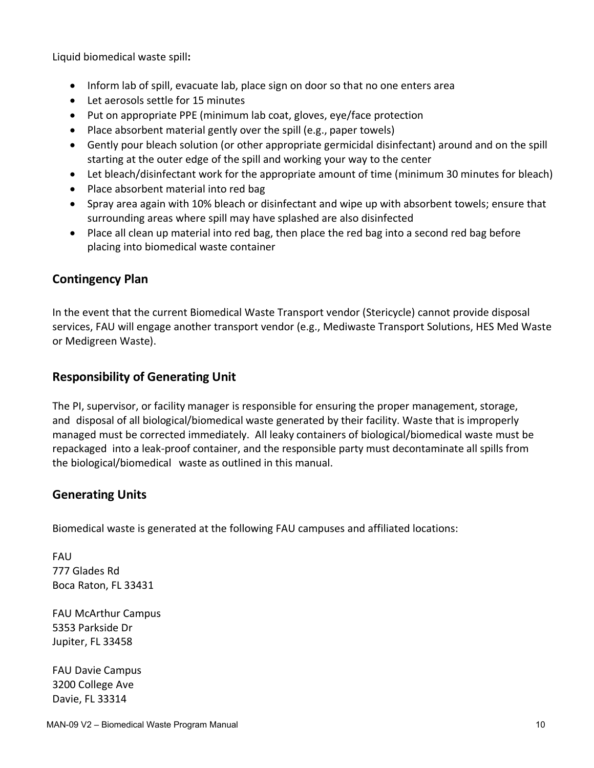Liquid biomedical waste spill**:**

- Inform lab of spill, evacuate lab, place sign on door so that no one enters area
- Let aerosols settle for 15 minutes
- Put on appropriate PPE (minimum lab coat, gloves, eye/face protection
- $\bullet$  Place absorbent material gently over the spill (e.g., paper towels)
- Gently pour bleach solution (or other appropriate germicidal disinfectant) around and on the spill starting at the outer edge of the spill and working your way to the center
- Let bleach/disinfectant work for the appropriate amount of time (minimum 30 minutes for bleach)
- Place absorbent material into red bag
- Spray area again with 10% bleach or disinfectant and wipe up with absorbent towels; ensure that surrounding areas where spill may have splashed are also disinfected
- Place all clean up material into red bag, then place the red bag into a second red bag before placing into biomedical waste container

#### **Contingency Plan**

In the event that the current Biomedical Waste Transport vendor (Stericycle) cannot provide disposal services, FAU will engage another transport vendor (e.g., Mediwaste Transport Solutions, HES Med Waste or Medigreen Waste).

#### **Responsibility of Generating Unit**

The PI, supervisor, or facility manager is responsible for ensuring the proper management, storage, and disposal of all biological/biomedical waste generated by their facility. Waste that is improperly managed must be corrected immediately. All leaky containers of biological/biomedical waste must be repackaged into a leak-proof container, and the responsible party must decontaminate all spills from the biological/biomedical waste as outlined in this manual.

#### **Generating Units**

Biomedical waste is generated at the following FAU campuses and affiliated locations:

FAU 777 Glades Rd Boca Raton, FL 33431

FAU McArthur Campus 5353 Parkside Dr Jupiter, FL 33458

FAU Davie Campus 3200 College Ave Davie, FL 33314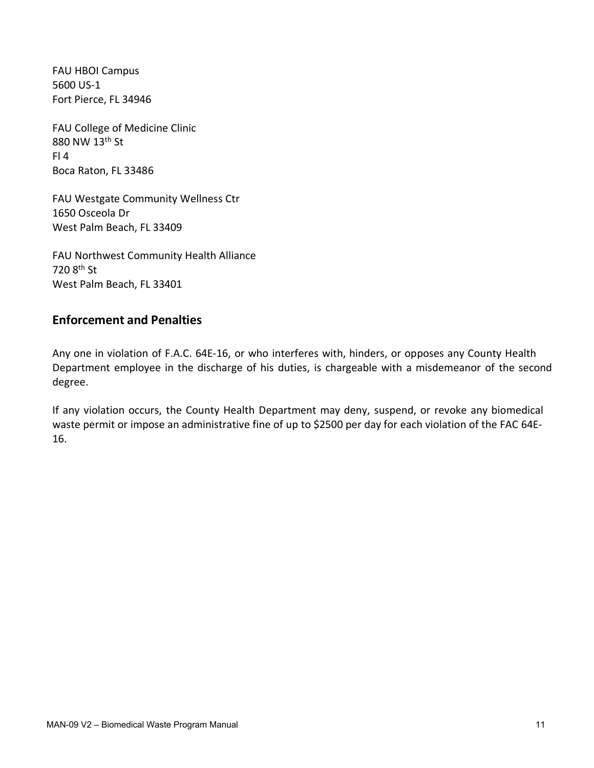FAU HBOI Campus 5600 US-1 Fort Pierce, FL 34946

FAU College of Medicine Clinic 880 NW 13th St Fl 4 Boca Raton, FL 33486

FAU Westgate Community Wellness Ctr 1650 Osceola Dr West Palm Beach, FL 33409

FAU Northwest Community Health Alliance 720 8th St West Palm Beach, FL 33401

#### **Enforcement and Penalties**

Any one in violation of F.A.C. 64E-16, or who interferes with, hinders, or opposes any County Health Department employee in the discharge of his duties, is chargeable with a misdemeanor of the second degree.

If any violation occurs, the County Health Department may deny, suspend, or revoke any biomedical waste permit or impose an administrative fine of up to \$2500 per day for each violation of the FAC 64E-16.